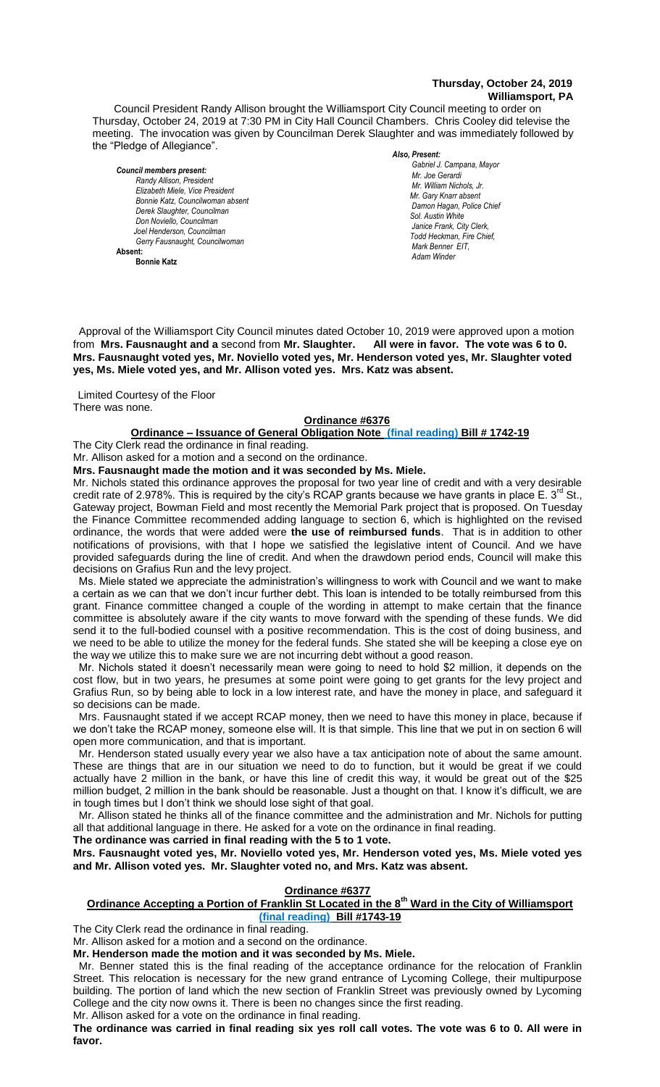# **Thursday, October 24, 2019 Williamsport, PA**

Council President Randy Allison brought the Williamsport City Council meeting to order on Thursday, October 24, 2019 at 7:30 PM in City Hall Council Chambers. Chris Cooley did televise the meeting. The invocation was given by Councilman Derek Slaughter and was immediately followed by the "Pledge of Allegiance".

*Council members present: Randy Allison, President , President*   $E$ lizabeth Miele, Vice President *Bonnie Katz, Councilwoman absent Derek Slaughter, Councilman Don Noviello, Councilman Joel Henderson, Councilman Gerry Fausnaught, Councilwoman*  **Absent:** 

**Bonnie Katz**

#### *Also, Present:*

Gabriel J. Campana, Mayor *Mr. Joe Gerardi Mr. William Nichols, Jr. Mr. Joe Pawlak Mr. Gary Knarr absent Damon Hagan, Police Chief Sol. Austin White Janice Frank, City Clerk, Todd Heckman, Fire Chief, Mark Benner EIT. Adam Winder*

 Approval of the Williamsport City Council minutes dated October 10, 2019 were approved upon a motion from **Mrs. Fausnaught and a** second from Mr. Slaughter. **Mrs. Fausnaught voted yes, Mr. Noviello voted yes, Mr. Henderson voted yes, Mr. Slaughter voted yes, Ms. Miele voted yes, and Mr. Allison voted yes. Mrs. Katz was absent.** *Mr. Tom Cillo C. Dean Heinbach, Fire Chief . Mr. Joe Pawlak*

Limited Courtesy of the Floor There was none.

#### **Ordinance #6376**

#### **Ordinance – Issuance of General Obligation Note (final reading) Bill # 1742-19**

The City Clerk read the ordinance in final reading.

Mr. Allison asked for a motion and a second on the ordinance.

**Mrs. Fausnaught made the motion and it was seconded by Ms. Miele.**

Mr. Nichols stated this ordinance approves the proposal for two year line of credit and with a very desirable credit rate of 2.978%. This is required by the city's RCAP grants because we have grants in place E. 3<sup>rd</sup> St., Gateway project, Bowman Field and most recently the Memorial Park project that is proposed. On Tuesday *Members of the news media* the Finance Committee recommended adding language to section 6, which is highlighted on the revised ordinance, the words that were added were **the use of reimbursed funds**. That is in addition to other notifications of provisions, with that I hope we satisfied the legislative intent of Council. And we have provided safeguards during the line of credit. And when the drawdown period ends, Council will make this decisions on Grafius Run and the levy project.

 Ms. Miele stated we appreciate the administration's willingness to work with Council and we want to make a certain as we can that we don't incur further debt. This loan is intended to be totally reimbursed from this grant. Finance committee changed a couple of the wording in attempt to make certain that the finance committee is absolutely aware if the city wants to move forward with the spending of these funds. We did send it to the full-bodied counsel with a positive recommendation. This is the cost of doing business, and we need to be able to utilize the money for the federal funds. She stated she will be keeping a close eye on the way we utilize this to make sure we are not incurring debt without a good reason.

 Mr. Nichols stated it doesn't necessarily mean were going to need to hold \$2 million, it depends on the cost flow, but in two years, he presumes at some point were going to get grants for the levy project and Grafius Run, so by being able to lock in a low interest rate, and have the money in place, and safeguard it so decisions can be made.

 Mrs. Fausnaught stated if we accept RCAP money, then we need to have this money in place, because if we don't take the RCAP money, someone else will. It is that simple. This line that we put in on section 6 will open more communication, and that is important.

 Mr. Henderson stated usually every year we also have a tax anticipation note of about the same amount. These are things that are in our situation we need to do to function, but it would be great if we could actually have 2 million in the bank, or have this line of credit this way, it would be great out of the \$25 million budget, 2 million in the bank should be reasonable. Just a thought on that. I know it's difficult, we are in tough times but I don't think we should lose sight of that goal.

 Mr. Allison stated he thinks all of the finance committee and the administration and Mr. Nichols for putting all that additional language in there. He asked for a vote on the ordinance in final reading.

**The ordinance was carried in final reading with the 5 to 1 vote.**

**Mrs. Fausnaught voted yes, Mr. Noviello voted yes, Mr. Henderson voted yes, Ms. Miele voted yes and Mr. Allison voted yes. Mr. Slaughter voted no, and Mrs. Katz was absent.**

## **Ordinance #6377**

**Ordinance Accepting a Portion of Franklin St Located in the 8th Ward in the City of Williamsport (final reading) Bill #1743-19**

The City Clerk read the ordinance in final reading.

Mr. Allison asked for a motion and a second on the ordinance.

**Mr. Henderson made the motion and it was seconded by Ms. Miele.**

 Mr. Benner stated this is the final reading of the acceptance ordinance for the relocation of Franklin Street. This relocation is necessary for the new grand entrance of Lycoming College, their multipurpose building. The portion of land which the new section of Franklin Street was previously owned by Lycoming College and the city now owns it. There is been no changes since the first reading. Mr. Allison asked for a vote on the ordinance in final reading.

**The ordinance was carried in final reading six yes roll call votes. The vote was 6 to 0. All were in favor.**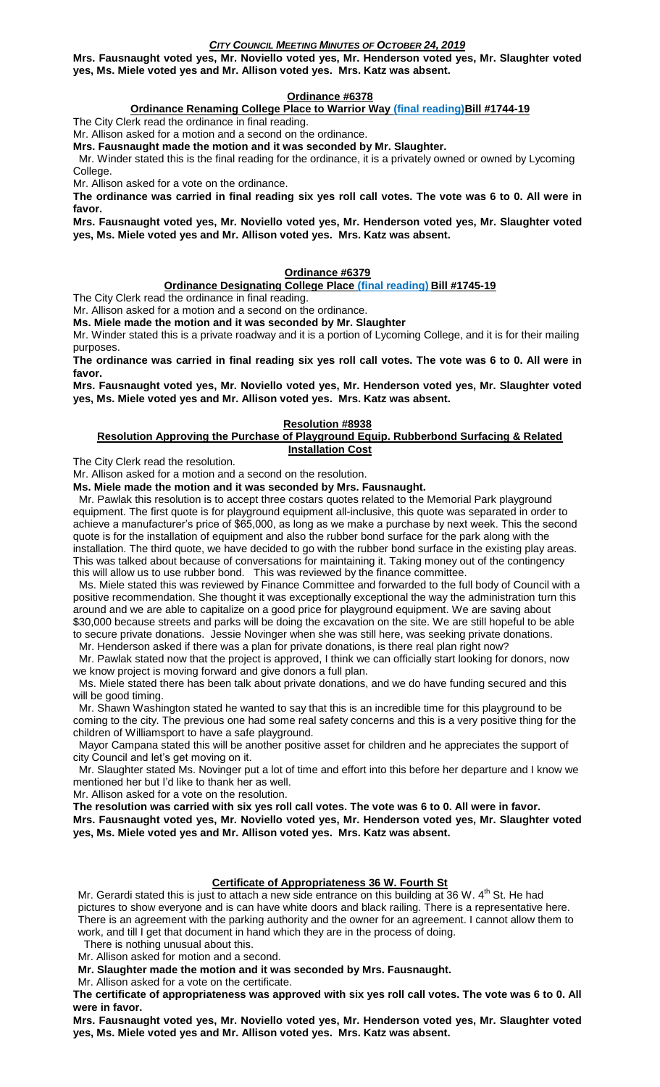# *CITY COUNCIL MEETING MINUTES OF OCTOBER 24, 2019*

**Mrs. Fausnaught voted yes, Mr. Noviello voted yes, Mr. Henderson voted yes, Mr. Slaughter voted yes, Ms. Miele voted yes and Mr. Allison voted yes. Mrs. Katz was absent.**

# **Ordinance #6378**

**Ordinance Renaming College Place to Warrior Way (final reading) Bill #1744-19** 

The City Clerk read the ordinance in final reading.

Mr. Allison asked for a motion and a second on the ordinance.

**Mrs. Fausnaught made the motion and it was seconded by Mr. Slaughter.**

 Mr. Winder stated this is the final reading for the ordinance, it is a privately owned or owned by Lycoming College.

Mr. Allison asked for a vote on the ordinance.

**The ordinance was carried in final reading six yes roll call votes. The vote was 6 to 0. All were in favor.**

**Mrs. Fausnaught voted yes, Mr. Noviello voted yes, Mr. Henderson voted yes, Mr. Slaughter voted yes, Ms. Miele voted yes and Mr. Allison voted yes. Mrs. Katz was absent.**

## **Ordinance #6379**

# **Ordinance Designating College Place (final reading) Bill #1745-19**

The City Clerk read the ordinance in final reading.

Mr. Allison asked for a motion and a second on the ordinance.

**Ms. Miele made the motion and it was seconded by Mr. Slaughter**

Mr. Winder stated this is a private roadway and it is a portion of Lycoming College, and it is for their mailing purposes.

**The ordinance was carried in final reading six yes roll call votes. The vote was 6 to 0. All were in favor.**

**Mrs. Fausnaught voted yes, Mr. Noviello voted yes, Mr. Henderson voted yes, Mr. Slaughter voted yes, Ms. Miele voted yes and Mr. Allison voted yes. Mrs. Katz was absent.**

## **Resolution #8938**

## **Resolution Approving the Purchase of Playground Equip. Rubberbond Surfacing & Related Installation Cost**

The City Clerk read the resolution.

Mr. Allison asked for a motion and a second on the resolution.

**Ms. Miele made the motion and it was seconded by Mrs. Fausnaught.**

 Mr. Pawlak this resolution is to accept three costars quotes related to the Memorial Park playground equipment. The first quote is for playground equipment all-inclusive, this quote was separated in order to achieve a manufacturer's price of \$65,000, as long as we make a purchase by next week. This the second quote is for the installation of equipment and also the rubber bond surface for the park along with the installation. The third quote, we have decided to go with the rubber bond surface in the existing play areas. This was talked about because of conversations for maintaining it. Taking money out of the contingency this will allow us to use rubber bond. This was reviewed by the finance committee.

 Ms. Miele stated this was reviewed by Finance Committee and forwarded to the full body of Council with a positive recommendation. She thought it was exceptionally exceptional the way the administration turn this around and we are able to capitalize on a good price for playground equipment. We are saving about \$30,000 because streets and parks will be doing the excavation on the site. We are still hopeful to be able to secure private donations. Jessie Novinger when she was still here, was seeking private donations.

 Mr. Henderson asked if there was a plan for private donations, is there real plan right now? Mr. Pawlak stated now that the project is approved, I think we can officially start looking for donors, now we know project is moving forward and give donors a full plan.

 Ms. Miele stated there has been talk about private donations, and we do have funding secured and this will be good timing.

 Mr. Shawn Washington stated he wanted to say that this is an incredible time for this playground to be coming to the city. The previous one had some real safety concerns and this is a very positive thing for the children of Williamsport to have a safe playground.

 Mayor Campana stated this will be another positive asset for children and he appreciates the support of city Council and let's get moving on it.

 Mr. Slaughter stated Ms. Novinger put a lot of time and effort into this before her departure and I know we mentioned her but I'd like to thank her as well.

Mr. Allison asked for a vote on the resolution.

**The resolution was carried with six yes roll call votes. The vote was 6 to 0. All were in favor.**

**Mrs. Fausnaught voted yes, Mr. Noviello voted yes, Mr. Henderson voted yes, Mr. Slaughter voted yes, Ms. Miele voted yes and Mr. Allison voted yes. Mrs. Katz was absent.**

## **Certificate of Appropriateness 36 W. Fourth St**

Mr. Gerardi stated this is just to attach a new side entrance on this building at 36 W.  $4<sup>th</sup>$  St. He had pictures to show everyone and is can have white doors and black railing. There is a representative here. There is an agreement with the parking authority and the owner for an agreement. I cannot allow them to work, and till I get that document in hand which they are in the process of doing.

There is nothing unusual about this.

Mr. Allison asked for motion and a second.

**Mr. Slaughter made the motion and it was seconded by Mrs. Fausnaught.**

Mr. Allison asked for a vote on the certificate.

**The certificate of appropriateness was approved with six yes roll call votes. The vote was 6 to 0. All were in favor.**

**Mrs. Fausnaught voted yes, Mr. Noviello voted yes, Mr. Henderson voted yes, Mr. Slaughter voted yes, Ms. Miele voted yes and Mr. Allison voted yes. Mrs. Katz was absent.**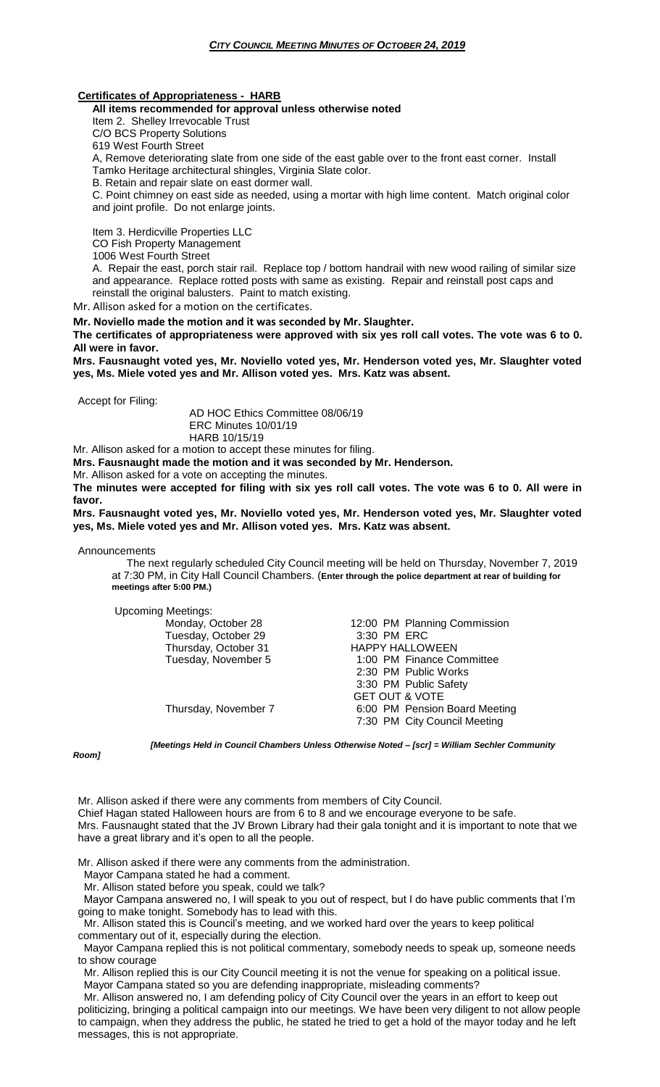## **Certificates of Appropriateness - HARB**

**All items recommended for approval unless otherwise noted**

Item 2. Shelley Irrevocable Trust

C/O BCS Property Solutions

619 West Fourth Street

A, Remove deteriorating slate from one side of the east gable over to the front east corner. Install

Tamko Heritage architectural shingles, Virginia Slate color.

B. Retain and repair slate on east dormer wall.

C. Point chimney on east side as needed, using a mortar with high lime content. Match original color and joint profile. Do not enlarge joints.

Item 3. Herdicville Properties LLC

CO Fish Property Management

1006 West Fourth Street

A. Repair the east, porch stair rail. Replace top / bottom handrail with new wood railing of similar size and appearance. Replace rotted posts with same as existing. Repair and reinstall post caps and reinstall the original balusters. Paint to match existing.

Mr. Allison asked for a motion on the certificates.

**Mr. Noviello made the motion and it was seconded by Mr. Slaughter.**

**The certificates of appropriateness were approved with six yes roll call votes. The vote was 6 to 0. All were in favor.**

**Mrs. Fausnaught voted yes, Mr. Noviello voted yes, Mr. Henderson voted yes, Mr. Slaughter voted yes, Ms. Miele voted yes and Mr. Allison voted yes. Mrs. Katz was absent.**

Accept for Filing:

AD HOC Ethics Committee 08/06/19 ERC Minutes 10/01/19 HARB 10/15/19

Mr. Allison asked for a motion to accept these minutes for filing.

**Mrs. Fausnaught made the motion and it was seconded by Mr. Henderson.**

Mr. Allison asked for a vote on accepting the minutes.

**The minutes were accepted for filing with six yes roll call votes. The vote was 6 to 0. All were in favor.**

**Mrs. Fausnaught voted yes, Mr. Noviello voted yes, Mr. Henderson voted yes, Mr. Slaughter voted yes, Ms. Miele voted yes and Mr. Allison voted yes. Mrs. Katz was absent.**

Announcements

 The next regularly scheduled City Council meeting will be held on Thursday, November 7, 2019 at 7:30 PM, in City Hall Council Chambers. (**Enter through the police department at rear of building for meetings after 5:00 PM.)**

Upcoming Meetings: Tuesday, October 29

12:00 PM Planning Commission<br>3:30 PM ERC Thursday, October 31 **HAPPY HALLOWEEN**<br>Tuesday, November 5 **1:00 PM** Finance Co 1:00 PM Finance Committee 2:30 PM Public Works 3:30 PM Public Safety GET OUT & VOTE Thursday, November 7 6:00 PM Pension Board Meeting 7:30 PM City Council Meeting

*Room]*

*[Meetings Held in Council Chambers Unless Otherwise Noted – [scr] = William Sechler Community* 

Mr. Allison asked if there were any comments from members of City Council. Chief Hagan stated Halloween hours are from 6 to 8 and we encourage everyone to be safe. Mrs. Fausnaught stated that the JV Brown Library had their gala tonight and it is important to note that we have a great library and it's open to all the people.

Mr. Allison asked if there were any comments from the administration.

Mayor Campana stated he had a comment.

Mr. Allison stated before you speak, could we talk?

 Mayor Campana answered no, I will speak to you out of respect, but I do have public comments that I'm going to make tonight. Somebody has to lead with this.

 Mr. Allison stated this is Council's meeting, and we worked hard over the years to keep political commentary out of it, especially during the election.

 Mayor Campana replied this is not political commentary, somebody needs to speak up, someone needs to show courage

 Mr. Allison replied this is our City Council meeting it is not the venue for speaking on a political issue. Mayor Campana stated so you are defending inappropriate, misleading comments?

 Mr. Allison answered no, I am defending policy of City Council over the years in an effort to keep out politicizing, bringing a political campaign into our meetings. We have been very diligent to not allow people to campaign, when they address the public, he stated he tried to get a hold of the mayor today and he left messages, this is not appropriate.